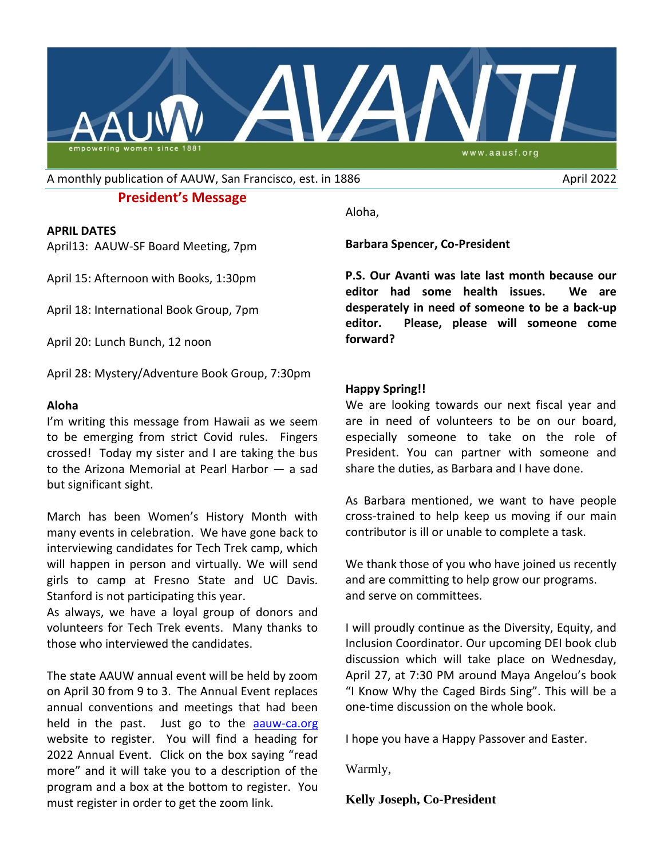

A monthly publication of AAUW, San Francisco, est. in 1886 April 2022

## **President's Message**

#### **APRIL DATES**

April13: AAUW-SF Board Meeting, 7pm

April 15: Afternoon with Books, 1:30pm

April 18: International Book Group, 7pm

April 20: Lunch Bunch, 12 noon

April 28: Mystery/Adventure Book Group, 7:30pm

### **Aloha**

I'm writing this message from Hawaii as we seem to be emerging from strict Covid rules. Fingers crossed! Today my sister and I are taking the bus to the Arizona Memorial at Pearl Harbor — a sad but significant sight.

March has been Women's History Month with many events in celebration. We have gone back to interviewing candidates for Tech Trek camp, which will happen in person and virtually. We will send girls to camp at Fresno State and UC Davis. Stanford is not participating this year.

As always, we have a loyal group of donors and volunteers for Tech Trek events. Many thanks to those who interviewed the candidates.

The state AAUW annual event will be held by zoom on April 30 from 9 to 3. The Annual Event replaces annual conventions and meetings that had been held in the past. Just go to the [aauw-ca.org](http://aauw-ca.org/) website to register. You will find a heading for 2022 Annual Event. Click on the box saying "read more" and it will take you to a description of the program and a box at the bottom to register. You must register in order to get the zoom link.

Aloha,

**Barbara Spencer, Co-President**

**P.S. Our Avanti was late last month because our editor had some health issues. We are desperately in need of someone to be a back-up editor. Please, please will someone come forward?**

### **Happy Spring!!**

We are looking towards our next fiscal year and are in need of volunteers to be on our board, especially someone to take on the role of President. You can partner with someone and share the duties, as Barbara and I have done.

As Barbara mentioned, we want to have people cross-trained to help keep us moving if our main contributor is ill or unable to complete a task.

We thank those of you who have joined us recently and are committing to help grow our programs. and serve on committees.

I will proudly continue as the Diversity, Equity, and Inclusion Coordinator. Our upcoming DEI book club discussion which will take place on Wednesday, April 27, at 7:30 PM around Maya Angelou's book "I Know Why the Caged Birds Sing". This will be a one-time discussion on the whole book.

I hope you have a Happy Passover and Easter.

Warmly,

**Kelly Joseph, Co-President**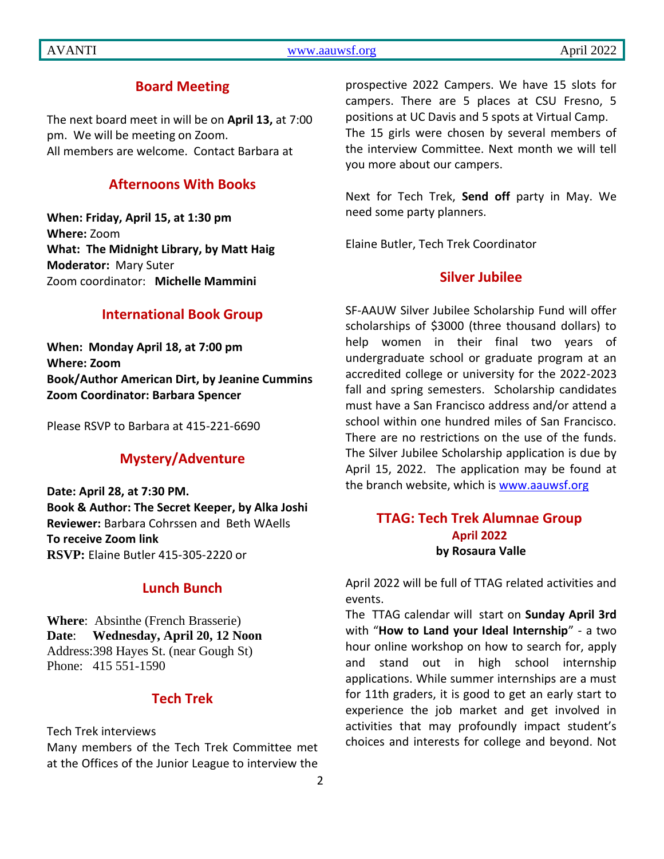## AVANTI [www.aauwsf.org](http://www.aauwsf.org/) April 2022

## **Board Meeting**

The next board meet in will be on **April 13,** at 7:00 pm. We will be meeting on Zoom. All members are welcome. Contact Barbara at

## **Afternoons With Books**

**When: Friday, April 15, at 1:30 pm Where:** Zoom **What: The Midnight Library, by Matt Haig Moderator:** Mary Suter Zoom coordinator: **Michelle Mammini**

### **International Book Group**

**When: Monday April 18, at 7:00 pm Where: Zoom Book/Author American Dirt, by Jeanine Cummins Zoom Coordinator: Barbara Spencer**

Please RSVP to Barbara at 415-221-6690

## **Mystery/Adventure**

**Date: April 28, at 7:30 PM. Book & Author: The Secret Keeper, by Alka Joshi Reviewer:** Barbara Cohrssen and Beth WAells **To receive Zoom link RSVP:** Elaine Butler 415-305-2220 or

## **Lunch Bunch**

**Where**: Absinthe (French Brasserie) **Date**: **Wednesday, April 20, 12 Noon** Address:398 Hayes St. (near Gough St) Phone: 415 551-1590

## **Tech Trek**

Tech Trek interviews

Many members of the Tech Trek Committee met at the Offices of the Junior League to interview the prospective 2022 Campers. We have 15 slots for campers. There are 5 places at CSU Fresno, 5 positions at UC Davis and 5 spots at Virtual Camp. The 15 girls were chosen by several members of the interview Committee. Next month we will tell you more about our campers.

Next for Tech Trek, **Send off** party in May. We need some party planners.

Elaine Butler, Tech Trek Coordinator

## **Silver Jubilee**

SF-AAUW Silver Jubilee Scholarship Fund will offer scholarships of \$3000 (three thousand dollars) to help women in their final two years of undergraduate school or graduate program at an accredited college or university for the 2022-2023 fall and spring semesters. Scholarship candidates must have a San Francisco address and/or attend a school within one hundred miles of San Francisco. There are no restrictions on the use of the funds. The Silver Jubilee Scholarship application is due by April 15, 2022. The application may be found at the branch website, which is [www.aauwsf.org](file:///C:/Users/Corrine/Documents/Avanti/www.aauwsf.org)

## **TTAG: Tech Trek Alumnae Group April 2022 by Rosaura Valle**

April 2022 will be full of TTAG related activities and events.

The TTAG calendar will start on **Sunday April 3rd**  with "**How to Land your Ideal Internship**" - a two hour online workshop on how to search for, apply and stand out in high school internship applications. While summer internships are a must for 11th graders, it is good to get an early start to experience the job market and get involved in activities that may profoundly impact student's choices and interests for college and beyond. Not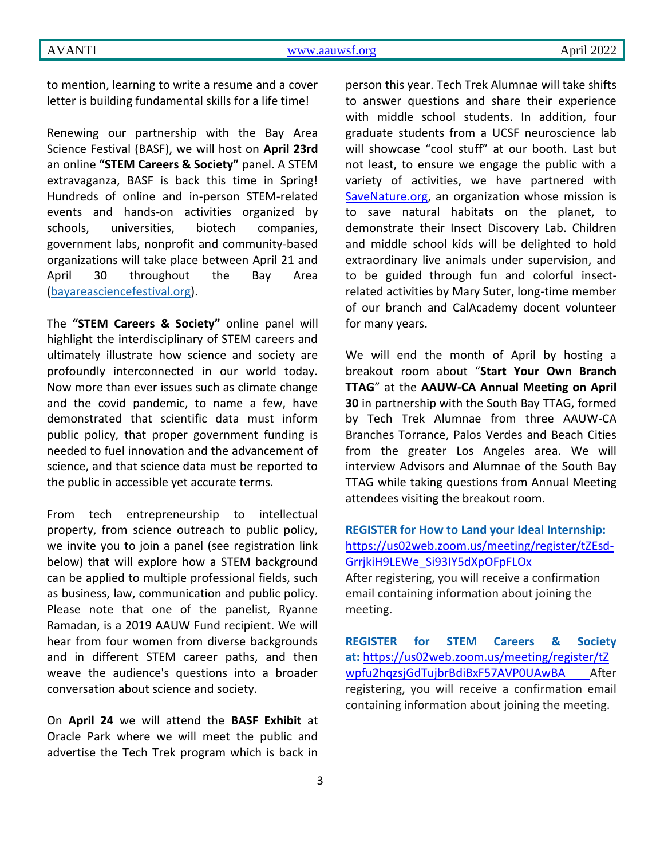to mention, learning to write a resume and a cover letter is building fundamental skills for a life time!

Renewing our partnership with the Bay Area Science Festival (BASF), we will host on **April 23rd**  an online **"STEM Careers & Society"** panel. A STEM extravaganza, BASF is back this time in Spring! Hundreds of online and in-person STEM-related events and hands-on activities organized by schools, universities, biotech companies, government labs, nonprofit and community-based organizations will take place between April 21 and April 30 throughout the Bay Area [\(bayareasciencefestival.org\)](http://bayareasciencefestival.org/).

The **"STEM Careers & Society"** online panel will highlight the interdisciplinary of STEM careers and ultimately illustrate how science and society are profoundly interconnected in our world today. Now more than ever issues such as climate change and the covid pandemic, to name a few, have demonstrated that scientific data must inform public policy, that proper government funding is needed to fuel innovation and the advancement of science, and that science data must be reported to the public in accessible yet accurate terms.

From tech entrepreneurship to intellectual property, from science outreach to public policy, we invite you to join a panel (see registration link below) that will explore how a STEM background can be applied to multiple professional fields, such as business, law, communication and public policy. Please note that one of the panelist, Ryanne Ramadan, is a 2019 AAUW Fund recipient. We will hear from four women from diverse backgrounds and in different STEM career paths, and then weave the audience's questions into a broader conversation about science and society.

On **April 24** we will attend the **BASF Exhibit** at Oracle Park where we will meet the public and advertise the Tech Trek program which is back in person this year. Tech Trek Alumnae will take shifts to answer questions and share their experience with middle school students. In addition, four graduate students from a UCSF neuroscience lab will showcase "cool stuff" at our booth. Last but not least, to ensure we engage the public with a variety of activities, we have partnered with [SaveNature.org,](http://savenature.org/) an organization whose mission is to save natural habitats on the planet, to demonstrate their Insect Discovery Lab. Children and middle school kids will be delighted to hold extraordinary live animals under supervision, and to be guided through fun and colorful insectrelated activities by Mary Suter, long-time member of our branch and CalAcademy docent volunteer for many years.

We will end the month of April by hosting a breakout room about "**Start Your Own Branch TTAG**" at the **AAUW-CA Annual Meeting on April 30** in partnership with the South Bay TTAG, formed by Tech Trek Alumnae from three AAUW-CA Branches Torrance, Palos Verdes and Beach Cities from the greater Los Angeles area. We will interview Advisors and Alumnae of the South Bay TTAG while taking questions from Annual Meeting attendees visiting the breakout room.

**REGISTER for How to Land your Ideal Internship:** [https://us02web.zoom.us/meeting/register/tZEsd-](https://us02web.zoom.us/meeting/register/tZEsd-GrrjkiH9LEWe_Si93IY5dXpOFpFLOx)[GrrjkiH9LEWe\\_Si93IY5dXpOFpFLOx](https://us02web.zoom.us/meeting/register/tZEsd-GrrjkiH9LEWe_Si93IY5dXpOFpFLOx) After registering, you will receive a confirmation email containing information about joining the meeting.

**REGISTER for STEM Careers & Society at:** [https://us02web.zoom.us/meeting/register/tZ](https://us02web.zoom.us/meeting/register/tZwpfu2hqzsjGdTujbrBdiBxF57AVP0UAwBA) [wpfu2hqzsjGdTujbrBdiBxF57AVP0UAwBA](https://us02web.zoom.us/meeting/register/tZwpfu2hqzsjGdTujbrBdiBxF57AVP0UAwBA) After registering, you will receive a confirmation email containing information about joining the meeting.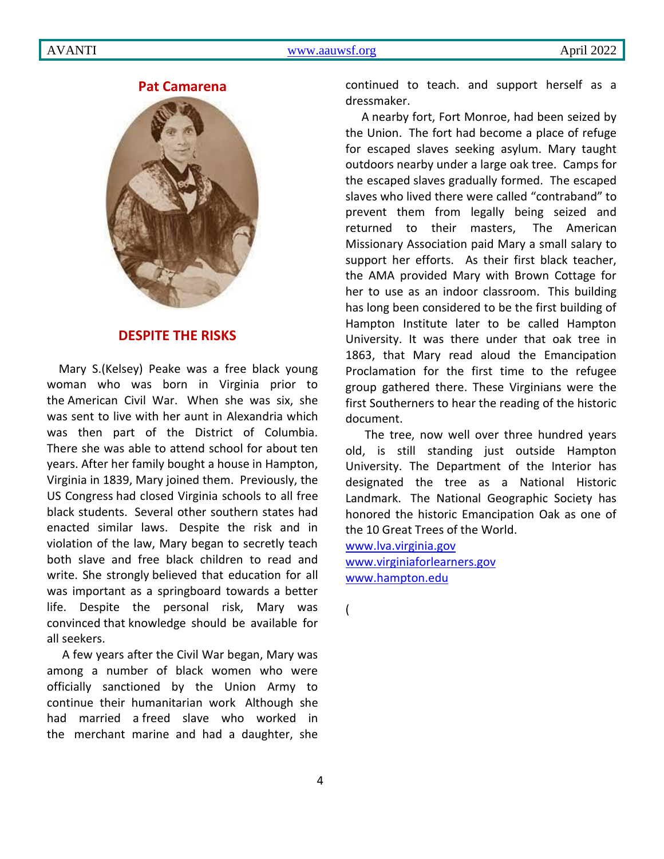### **Pat Camarena**



## **DESPITE THE RISKS**

 Mary S.(Kelsey) Peake was a free black young woman who was born in Virginia prior to the American Civil War. When she was six, she was sent to live with her aunt in Alexandria which was then part of the District of Columbia. There she was able to attend school for about ten years. After her family bought a house in Hampton, Virginia in 1839, Mary joined them. Previously, the US Congress had closed Virginia schools to all free black students. Several other southern states had enacted similar laws. Despite the risk and in violation of the law, Mary began to secretly teach both slave and free black children to read and write. She strongly believed that education for all was important as a springboard towards a better life. Despite the personal risk, Mary was convinced that knowledge should be available for all seekers.

A few years after the Civil War began, Mary was among a number of black women who were officially sanctioned by the Union Army to continue their humanitarian work Although she had married a freed slave who worked in the merchant marine and had a daughter, she

continued to teach. and support herself as a dressmaker.

A nearby fort, Fort Monroe, had been seized by the Union. The fort had become a place of refuge for escaped slaves seeking asylum. Mary taught outdoors nearby under a large oak tree. Camps for the escaped slaves gradually formed. The escaped slaves who lived there were called "contraband" to prevent them from legally being seized and returned to their masters, The American Missionary Association paid Mary a small salary to support her efforts. As their first black teacher, the AMA provided Mary with Brown Cottage for her to use as an indoor classroom. This building has long been considered to be the first building of Hampton Institute later to be called Hampton University. It was there under that oak tree in 1863, that Mary read aloud the Emancipation Proclamation for the first time to the refugee group gathered there. These Virginians were the first Southerners to hear the reading of the historic document.

The tree, now well over three hundred years old, is still standing just outside Hampton University. The Department of the Interior has designated the tree as a National Historic Landmark. The National Geographic Society has honored the historic Emancipation Oak as one of the 10 Great Trees of the World.

[www.lva.virginia.gov](http://www.lva.virginia.gov/) [www.virginiaforlearners.gov](http://www.virginiaforlearners.gov/) [www.hampton.edu](http://www.hampton.edu/)

(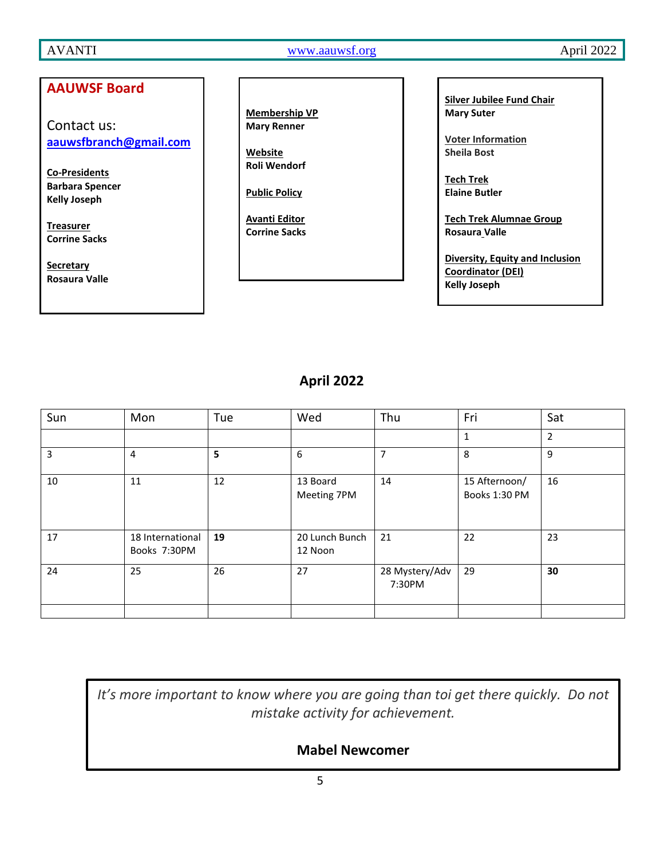AVANTI WWW.aauwsf.org April 2022

### **AAUWSF Board** Contact us: **[aauwsfbranch@gmail.com](file:///C:/Users/Corrine/Documents/Avanti/aauwsfbranch@gmail.com) Co-Presidents Barbara Spencer Kelly Joseph Treasurer Corrine Sacks Secretary Rosaura Valle Membership VP Mary Renner Website Roli Wendorf Public Policy Avanti Editor Corrine Sacks**

**Silver Jubilee Fund Chair Mary Suter**

**Voter Information Sheila Bost**

**Tech Trek Elaine Butler**

**Tech Trek Alumnae Group Rosaura Valle**

**Diversity, Equity and Inclusion Coordinator (DEI) Kelly Joseph**

# **April 2022**

| Sun | Mon                              | Tue | Wed                       | Thu                      | Fri                            | Sat            |
|-----|----------------------------------|-----|---------------------------|--------------------------|--------------------------------|----------------|
|     |                                  |     |                           |                          | $\mathbf{1}$                   | $\overline{2}$ |
| 3   | $\overline{4}$                   | 5   | 6                         | $\overline{7}$           | 8                              | 9              |
| 10  | 11                               | 12  | 13 Board<br>Meeting 7PM   | 14                       | 15 Afternoon/<br>Books 1:30 PM | 16             |
| 17  | 18 International<br>Books 7:30PM | 19  | 20 Lunch Bunch<br>12 Noon | 21                       | 22                             | 23             |
| 24  | 25                               | 26  | 27                        | 28 Mystery/Adv<br>7:30PM | 29                             | 30             |
|     |                                  |     |                           |                          |                                |                |

*It's more important to know where you are going than toi get there quickly. Do not mistake activity for achievement.*

# **Mabel Newcomer**